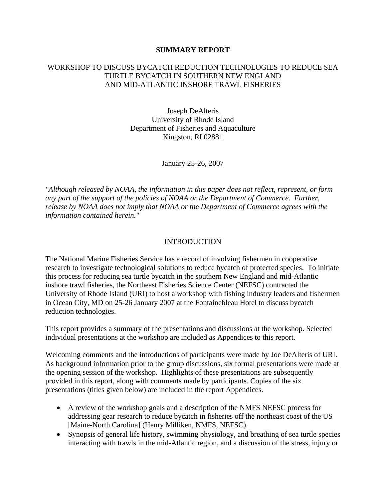#### **SUMMARY REPORT**

### WORKSHOP TO DISCUSS BYCATCH REDUCTION TECHNOLOGIES TO REDUCE SEA TURTLE BYCATCH IN SOUTHERN NEW ENGLAND AND MID-ATLANTIC INSHORE TRAWL FISHERIES

Joseph DeAlteris University of Rhode Island Department of Fisheries and Aquaculture Kingston, RI 02881

January 25-26, 2007

*"Although released by NOAA, the information in this paper does not reflect, represent, or form any part of the support of the policies of NOAA or the Department of Commerce. Further, release by NOAA does not imply that NOAA or the Department of Commerce agrees with the information contained herein."* 

#### INTRODUCTION

The National Marine Fisheries Service has a record of involving fishermen in cooperative research to investigate technological solutions to reduce bycatch of protected species. To initiate this process for reducing sea turtle bycatch in the southern New England and mid-Atlantic inshore trawl fisheries, the Northeast Fisheries Science Center (NEFSC) contracted the University of Rhode Island (URI) to host a workshop with fishing industry leaders and fishermen in Ocean City, MD on 25-26 January 2007 at the Fontainebleau Hotel to discuss bycatch reduction technologies.

This report provides a summary of the presentations and discussions at the workshop. Selected individual presentations at the workshop are included as Appendices to this report.

Welcoming comments and the introductions of participants were made by Joe DeAlteris of URI. As background information prior to the group discussions, six formal presentations were made at the opening session of the workshop. Highlights of these presentations are subsequently provided in this report, along with comments made by participants. Copies of the six presentations (titles given below) are included in the report Appendices.

- A review of the workshop goals and a description of the NMFS NEFSC process for addressing gear research to reduce bycatch in fisheries off the northeast coast of the US [Maine-North Carolina] (Henry Milliken, NMFS, NEFSC).
- Synopsis of general life history, swimming physiology, and breathing of sea turtle species interacting with trawls in the mid-Atlantic region, and a discussion of the stress, injury or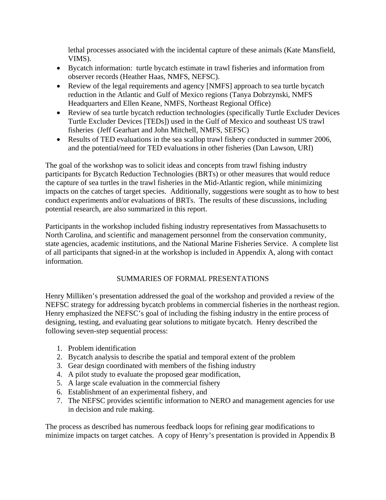lethal processes associated with the incidental capture of these animals (Kate Mansfield, VIMS).

- Bycatch information: turtle bycatch estimate in trawl fisheries and information from observer records (Heather Haas, NMFS, NEFSC).
- Review of the legal requirements and agency [NMFS] approach to sea turtle bycatch reduction in the Atlantic and Gulf of Mexico regions (Tanya Dobrzynski, NMFS Headquarters and Ellen Keane, NMFS, Northeast Regional Office)
- Review of sea turtle bycatch reduction technologies (specifically Turtle Excluder Devices Turtle Excluder Devices [TEDs]) used in the Gulf of Mexico and southeast US trawl fisheries (Jeff Gearhart and John Mitchell, NMFS, SEFSC)
- Results of TED evaluations in the sea scallop trawl fishery conducted in summer 2006, and the potential/need for TED evaluations in other fisheries (Dan Lawson, URI)

The goal of the workshop was to solicit ideas and concepts from trawl fishing industry participants for Bycatch Reduction Technologies (BRTs) or other measures that would reduce the capture of sea turtles in the trawl fisheries in the Mid-Atlantic region, while minimizing impacts on the catches of target species. Additionally, suggestions were sought as to how to best conduct experiments and/or evaluations of BRTs. The results of these discussions, including potential research, are also summarized in this report.

Participants in the workshop included fishing industry representatives from Massachusetts to North Carolina, and scientific and management personnel from the conservation community, state agencies, academic institutions, and the National Marine Fisheries Service. A complete list of all participants that signed-in at the workshop is included in Appendix A, along with contact information.

## SUMMARIES OF FORMAL PRESENTATIONS

Henry Milliken's presentation addressed the goal of the workshop and provided a review of the NEFSC strategy for addressing bycatch problems in commercial fisheries in the northeast region. Henry emphasized the NEFSC's goal of including the fishing industry in the entire process of designing, testing, and evaluating gear solutions to mitigate bycatch. Henry described the following seven-step sequential process:

- 1. Problem identification
- 2. Bycatch analysis to describe the spatial and temporal extent of the problem
- 3. Gear design coordinated with members of the fishing industry
- 4. A pilot study to evaluate the proposed gear modification,
- 5. A large scale evaluation in the commercial fishery
- 6. Establishment of an experimental fishery, and
- 7. The NEFSC provides scientific information to NERO and management agencies for use in decision and rule making.

The process as described has numerous feedback loops for refining gear modifications to minimize impacts on target catches. A copy of Henry's presentation is provided in Appendix B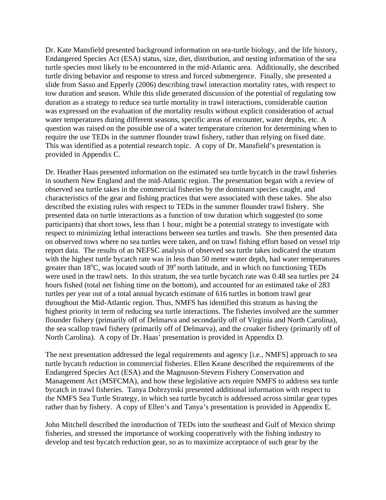Dr. Kate Mansfield presented background information on sea-turtle biology, and the life history, Endangered Species Act (ESA) status, size, diet, distribution, and nesting information of the sea turtle species most likely to be encountered in the mid-Atlantic area. Additionally, she described turtle diving behavior and response to stress and forced submergence. Finally, she presented a slide from Sasso and Epperly (2006) describing trawl interaction mortality rates, with respect to tow duration and season. While this slide generated discussion of the potential of regulating tow duration as a strategy to reduce sea turtle mortality in trawl interactions, considerable caution was expressed on the evaluation of the mortality results without explicit consideration of actual water temperatures during different seasons, specific areas of encounter, water depths, etc. A question was raised on the possible use of a water temperature criterion for determining when to require the use TEDs in the summer flounder trawl fishery, rather than relying on fixed date. This was identified as a potential research topic. A copy of Dr. Mansfield's presentation is provided in Appendix C.

Dr. Heather Haas presented information on the estimated sea turtle bycatch in the trawl fisheries in southern New England and the mid-Atlantic region. The presentation began with a review of observed sea turtle takes in the commercial fisheries by the dominant species caught, and characteristics of the gear and fishing practices that were associated with these takes. She also described the existing rules with respect to TEDs in the summer flounder trawl fishery. She presented data on turtle interactions as a function of tow duration which suggested (to some participants) that short tows, less than 1 hour, might be a potential strategy to investigate with respect to minimizing lethal interactions between sea turtles and trawls. She then presented data on observed tows where no sea turtles were taken, and on trawl fishing effort based on vessel trip report data. The results of an NEFSC analysis of observed sea turtle takes indicated the stratum with the highest turtle bycatch rate was in less than 50 meter water depth, had water temperatures greater than 18°C, was located south of 39° north latitude, and in which no functioning TEDs were used in the trawl nets. In this stratum, the sea turtle bycatch rate was 0.48 sea turtles per 24 hours fished (total net fishing time on the bottom), and accounted for an estimated take of 283 turtles per year out of a total annual bycatch estimate of 616 turtles in bottom trawl gear throughout the Mid-Atlantic region. Thus, NMFS has identified this stratum as having the highest priority in term of reducing sea turtle interactions. The fisheries involved are the summer flounder fishery (primarily off of Delmarva and secondarily off of Virginia and North Carolina), the sea scallop trawl fishery (primarily off of Delmarva), and the croaker fishery (primarily off of North Carolina). A copy of Dr. Haas' presentation is provided in Appendix D.

The next presentation addressed the legal requirements and agency [i.e., NMFS] approach to sea turtle bycatch reduction in commercial fisheries. Ellen Keane described the requirements of the Endangered Species Act (ESA) and the Magnuson-Stevens Fishery Conservation and Management Act (MSFCMA), and how these legislative acts require NMFS to address sea turtle bycatch in trawl fisheries. Tanya Dobrzynski presented additional information with respect to the NMFS Sea Turtle Strategy, in which sea turtle bycatch is addressed across similar gear types rather than by fishery. A copy of Ellen's and Tanya's presentation is provided in Appendix E.

John Mitchell described the introduction of TEDs into the southeast and Gulf of Mexico shrimp fisheries, and stressed the importance of working cooperatively with the fishing industry to develop and test bycatch reduction gear, so as to maximize acceptance of such gear by the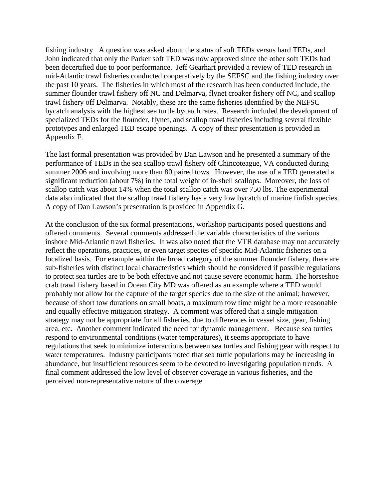fishing industry. A question was asked about the status of soft TEDs versus hard TEDs, and John indicated that only the Parker soft TED was now approved since the other soft TEDs had been decertified due to poor performance. Jeff Gearhart provided a review of TED research in mid-Atlantic trawl fisheries conducted cooperatively by the SEFSC and the fishing industry over the past 10 years. The fisheries in which most of the research has been conducted include, the summer flounder trawl fishery off NC and Delmarva, flynet croaker fishery off NC, and scallop trawl fishery off Delmarva. Notably, these are the same fisheries identified by the NEFSC bycatch analysis with the highest sea turtle bycatch rates. Research included the development of specialized TEDs for the flounder, flynet, and scallop trawl fisheries including several flexible prototypes and enlarged TED escape openings. A copy of their presentation is provided in Appendix F.

The last formal presentation was provided by Dan Lawson and he presented a summary of the performance of TEDs in the sea scallop trawl fishery off Chincoteague, VA conducted during summer 2006 and involving more than 80 paired tows. However, the use of a TED generated a significant reduction (about 7%) in the total weight of in-shell scallops. Moreover, the loss of scallop catch was about 14% when the total scallop catch was over 750 lbs. The experimental data also indicated that the scallop trawl fishery has a very low bycatch of marine finfish species. A copy of Dan Lawson's presentation is provided in Appendix G.

At the conclusion of the six formal presentations, workshop participants posed questions and offered comments. Several comments addressed the variable characteristics of the various inshore Mid-Atlantic trawl fisheries. It was also noted that the VTR database may not accurately reflect the operations, practices, or even target species of specific Mid-Atlantic fisheries on a localized basis. For example within the broad category of the summer flounder fishery, there are sub-fisheries with distinct local characteristics which should be considered if possible regulations to protect sea turtles are to be both effective and not cause severe economic harm. The horseshoe crab trawl fishery based in Ocean City MD was offered as an example where a TED would probably not allow for the capture of the target species due to the size of the animal; however, because of short tow durations on small boats, a maximum tow time might be a more reasonable and equally effective mitigation strategy. A comment was offered that a single mitigation strategy may not be appropriate for all fisheries, due to differences in vessel size, gear, fishing area, etc. Another comment indicated the need for dynamic management. Because sea turtles respond to environmental conditions (water temperatures), it seems appropriate to have regulations that seek to minimize interactions between sea turtles and fishing gear with respect to water temperatures. Industry participants noted that sea turtle populations may be increasing in abundance, but insufficient resources seem to be devoted to investigating population trends. A final comment addressed the low level of observer coverage in various fisheries, and the perceived non-representative nature of the coverage.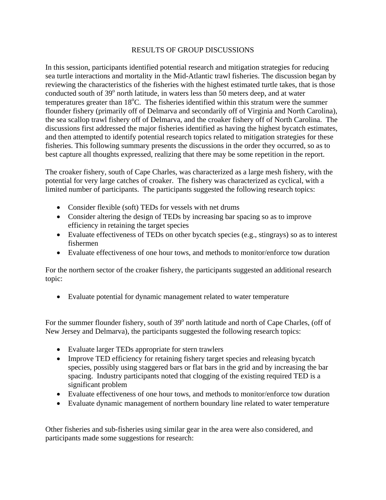## RESULTS OF GROUP DISCUSSIONS

In this session, participants identified potential research and mitigation strategies for reducing sea turtle interactions and mortality in the Mid-Atlantic trawl fisheries. The discussion began by reviewing the characteristics of the fisheries with the highest estimated turtle takes, that is those conducted south of 39<sup>°</sup> north latitude, in waters less than 50 meters deep, and at water temperatures greater than 18°C. The fisheries identified within this stratum were the summer flounder fishery (primarily off of Delmarva and secondarily off of Virginia and North Carolina), the sea scallop trawl fishery off of Delmarva, and the croaker fishery off of North Carolina. The discussions first addressed the major fisheries identified as having the highest bycatch estimates, and then attempted to identify potential research topics related to mitigation strategies for these fisheries. This following summary presents the discussions in the order they occurred, so as to best capture all thoughts expressed, realizing that there may be some repetition in the report.

The croaker fishery, south of Cape Charles, was characterized as a large mesh fishery, with the potential for very large catches of croaker. The fishery was characterized as cyclical, with a limited number of participants. The participants suggested the following research topics:

- Consider flexible (soft) TEDs for vessels with net drums
- Consider altering the design of TEDs by increasing bar spacing so as to improve efficiency in retaining the target species
- Evaluate effectiveness of TEDs on other bycatch species (e.g., stingrays) so as to interest fishermen
- Evaluate effectiveness of one hour tows, and methods to monitor/enforce tow duration

For the northern sector of the croaker fishery, the participants suggested an additional research topic:

• Evaluate potential for dynamic management related to water temperature

For the summer flounder fishery, south of 39<sup>°</sup> north latitude and north of Cape Charles, (off of New Jersey and Delmarva), the participants suggested the following research topics:

- Evaluate larger TEDs appropriate for stern trawlers
- Improve TED efficiency for retaining fishery target species and releasing bycatch species, possibly using staggered bars or flat bars in the grid and by increasing the bar spacing. Industry participants noted that clogging of the existing required TED is a significant problem
- Evaluate effectiveness of one hour tows, and methods to monitor/enforce tow duration
- Evaluate dynamic management of northern boundary line related to water temperature

Other fisheries and sub-fisheries using similar gear in the area were also considered, and participants made some suggestions for research: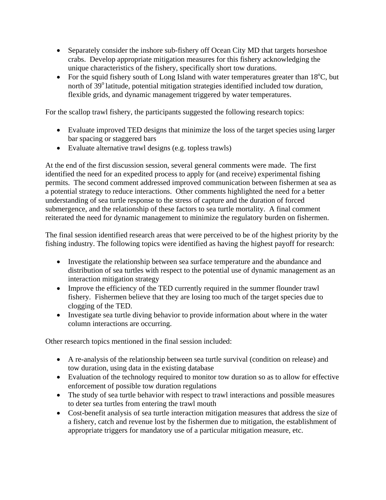- Separately consider the inshore sub-fishery off Ocean City MD that targets horseshoe crabs. Develop appropriate mitigation measures for this fishery acknowledging the unique characteristics of the fishery, specifically short tow durations.
- For the squid fishery south of Long Island with water temperatures greater than  $18^{\circ}$ C, but north of 39<sup>°</sup> latitude, potential mitigation strategies identified included tow duration, flexible grids, and dynamic management triggered by water temperatures.

For the scallop trawl fishery, the participants suggested the following research topics:

- Evaluate improved TED designs that minimize the loss of the target species using larger bar spacing or staggered bars
- Evaluate alternative trawl designs (e.g. topless trawls)

At the end of the first discussion session, several general comments were made. The first identified the need for an expedited process to apply for (and receive) experimental fishing permits. The second comment addressed improved communication between fishermen at sea as a potential strategy to reduce interactions. Other comments highlighted the need for a better understanding of sea turtle response to the stress of capture and the duration of forced submergence, and the relationship of these factors to sea turtle mortality. A final comment reiterated the need for dynamic management to minimize the regulatory burden on fishermen.

The final session identified research areas that were perceived to be of the highest priority by the fishing industry. The following topics were identified as having the highest payoff for research:

- Investigate the relationship between sea surface temperature and the abundance and distribution of sea turtles with respect to the potential use of dynamic management as an interaction mitigation strategy
- Improve the efficiency of the TED currently required in the summer flounder trawl fishery. Fishermen believe that they are losing too much of the target species due to clogging of the TED.
- Investigate sea turtle diving behavior to provide information about where in the water column interactions are occurring.

Other research topics mentioned in the final session included:

- A re-analysis of the relationship between sea turtle survival (condition on release) and tow duration, using data in the existing database
- Evaluation of the technology required to monitor tow duration so as to allow for effective enforcement of possible tow duration regulations
- The study of sea turtle behavior with respect to trawl interactions and possible measures to deter sea turtles from entering the trawl mouth
- Cost-benefit analysis of sea turtle interaction mitigation measures that address the size of a fishery, catch and revenue lost by the fishermen due to mitigation, the establishment of appropriate triggers for mandatory use of a particular mitigation measure, etc.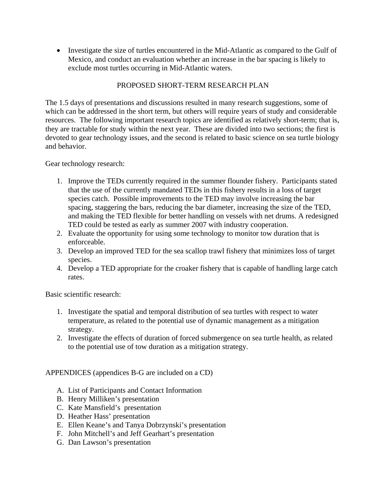• Investigate the size of turtles encountered in the Mid-Atlantic as compared to the Gulf of Mexico, and conduct an evaluation whether an increase in the bar spacing is likely to exclude most turtles occurring in Mid-Atlantic waters.

# PROPOSED SHORT-TERM RESEARCH PLAN

The 1.5 days of presentations and discussions resulted in many research suggestions, some of which can be addressed in the short term, but others will require years of study and considerable resources. The following important research topics are identified as relatively short-term; that is, they are tractable for study within the next year. These are divided into two sections; the first is devoted to gear technology issues, and the second is related to basic science on sea turtle biology and behavior.

Gear technology research:

- 1. Improve the TEDs currently required in the summer flounder fishery. Participants stated that the use of the currently mandated TEDs in this fishery results in a loss of target species catch. Possible improvements to the TED may involve increasing the bar spacing, staggering the bars, reducing the bar diameter, increasing the size of the TED, and making the TED flexible for better handling on vessels with net drums. A redesigned TED could be tested as early as summer 2007 with industry cooperation.
- 2. Evaluate the opportunity for using some technology to monitor tow duration that is enforceable.
- 3. Develop an improved TED for the sea scallop trawl fishery that minimizes loss of target species.
- 4. Develop a TED appropriate for the croaker fishery that is capable of handling large catch rates.

Basic scientific research:

- 1. Investigate the spatial and temporal distribution of sea turtles with respect to water temperature, as related to the potential use of dynamic management as a mitigation strategy.
- 2. Investigate the effects of duration of forced submergence on sea turtle health, as related to the potential use of tow duration as a mitigation strategy.

APPENDICES (appendices B-G are included on a CD)

- A. List of Participants and Contact Information
- B. Henry Milliken's presentation
- C. Kate Mansfield's presentation
- D. Heather Hass' presentation
- E. Ellen Keane's and Tanya Dobrzynski's presentation
- F. John Mitchell's and Jeff Gearhart's presentation
- G. Dan Lawson's presentation